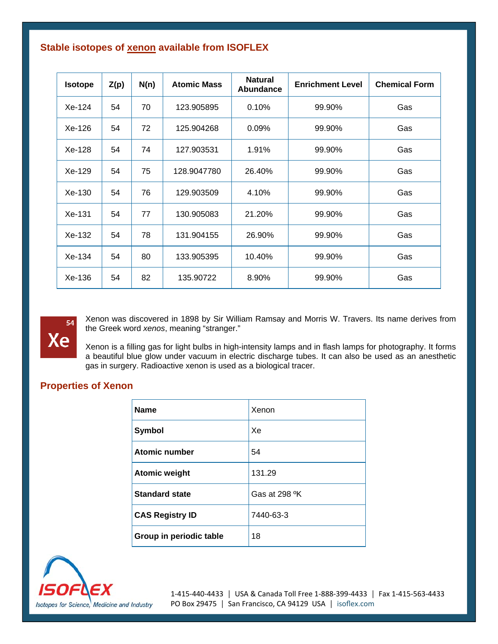## **Stable isotopes of xenon available from ISOFLEX**

| <b>Isotope</b> | Z(p) | N(n) | <b>Atomic Mass</b> | <b>Natural</b><br>Abundance | <b>Enrichment Level</b> | <b>Chemical Form</b> |
|----------------|------|------|--------------------|-----------------------------|-------------------------|----------------------|
| $Xe-124$       | 54   | 70   | 123.905895         | 0.10%                       | 99.90%                  | Gas                  |
| Xe-126         | 54   | 72   | 125.904268         | $0.09\%$                    | 99.90%                  | Gas                  |
| Xe-128         | 54   | 74   | 127.903531         | 1.91%                       | 99.90%                  | Gas                  |
| Xe-129         | 54   | 75   | 128.9047780        | 26.40%                      | 99.90%                  | Gas                  |
| Xe-130         | 54   | 76   | 129.903509         | 4.10%                       | 99.90%                  | Gas                  |
| $Xe-131$       | 54   | 77   | 130.905083         | 21.20%                      | 99.90%                  | Gas                  |
| Xe-132         | 54   | 78   | 131.904155         | 26.90%                      | 99.90%                  | Gas                  |
| $Xe-134$       | 54   | 80   | 133.905395         | 10.40%                      | 99.90%                  | Gas                  |
| Xe-136         | 54   | 82   | 135.90722          | 8.90%                       | 99.90%                  | Gas                  |



Xenon was discovered in 1898 by Sir William Ramsay and Morris W. Travers. Its name derives from the Greek word *xenos*, meaning "stranger."

Xenon is a filling gas for light bulbs in high-intensity lamps and in flash lamps for photography. It forms a beautiful blue glow under vacuum in electric discharge tubes. It can also be used as an anesthetic gas in surgery. Radioactive xenon is used as a biological tracer.

## **Properties of Xenon**

| <b>Name</b>             | Xenon                     |
|-------------------------|---------------------------|
| <b>Symbol</b>           | Xe                        |
| <b>Atomic number</b>    | 54                        |
| <b>Atomic weight</b>    | 131.29                    |
| <b>Standard state</b>   | Gas at 298 <sup>o</sup> K |
| <b>CAS Registry ID</b>  | 7440-63-3                 |
| Group in periodic table | 18                        |